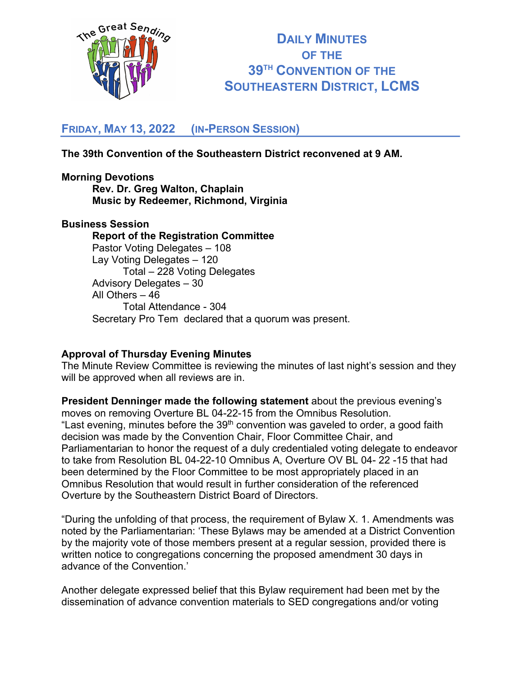

# **DAILY MINUTES OF THE 39TH CONVENTION OF THE SOUTHEASTERN DISTRICT, LCMS**

# **FRIDAY, MAY 13, 2022 (IN-PERSON SESSION)**

# **The 39th Convention of the Southeastern District reconvened at 9 AM.**

## **Morning Devotions Rev. Dr. Greg Walton, Chaplain Music by Redeemer, Richmond, Virginia**

#### **Business Session**

**Report of the Registration Committee** Pastor Voting Delegates – 108 Lay Voting Delegates – 120 Total – 228 Voting Delegates Advisory Delegates – 30 All Others – 46 Total Attendance - 304 Secretary Pro Tem declared that a quorum was present.

#### **Approval of Thursday Evening Minutes**

The Minute Review Committee is reviewing the minutes of last night's session and they will be approved when all reviews are in.

**President Denninger made the following statement** about the previous evening's moves on removing Overture BL 04-22-15 from the Omnibus Resolution. "Last evening, minutes before the  $39<sup>th</sup>$  convention was gaveled to order, a good faith decision was made by the Convention Chair, Floor Committee Chair, and Parliamentarian to honor the request of a duly credentialed voting delegate to endeavor to take from Resolution BL 04-22-10 Omnibus A, Overture OV BL 04- 22 -15 that had been determined by the Floor Committee to be most appropriately placed in an Omnibus Resolution that would result in further consideration of the referenced Overture by the Southeastern District Board of Directors.

"During the unfolding of that process, the requirement of Bylaw X. 1. Amendments was noted by the Parliamentarian: 'These Bylaws may be amended at a District Convention by the majority vote of those members present at a regular session, provided there is written notice to congregations concerning the proposed amendment 30 days in advance of the Convention.'

Another delegate expressed belief that this Bylaw requirement had been met by the dissemination of advance convention materials to SED congregations and/or voting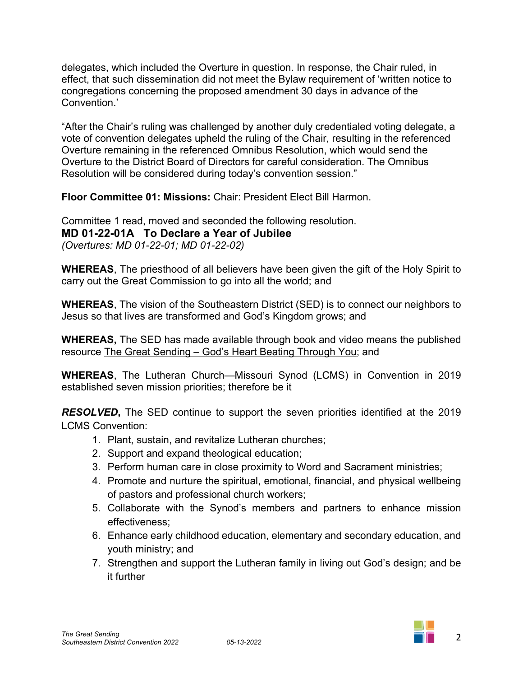delegates, which included the Overture in question. In response, the Chair ruled, in effect, that such dissemination did not meet the Bylaw requirement of 'written notice to congregations concerning the proposed amendment 30 days in advance of the Convention.'

"After the Chair's ruling was challenged by another duly credentialed voting delegate, a vote of convention delegates upheld the ruling of the Chair, resulting in the referenced Overture remaining in the referenced Omnibus Resolution, which would send the Overture to the District Board of Directors for careful consideration. The Omnibus Resolution will be considered during today's convention session."

**Floor Committee 01: Missions:** Chair: President Elect Bill Harmon.

Committee 1 read, moved and seconded the following resolution. **MD 01-22-01A To Declare a Year of Jubilee** *(Overtures: MD 01-22-01; MD 01-22-02)*

**WHEREAS**, The priesthood of all believers have been given the gift of the Holy Spirit to carry out the Great Commission to go into all the world; and

**WHEREAS**, The vision of the Southeastern District (SED) is to connect our neighbors to Jesus so that lives are transformed and God's Kingdom grows; and

**WHEREAS,** The SED has made available through book and video means the published resource The Great Sending – God's Heart Beating Through You; and

**WHEREAS**, The Lutheran Church—Missouri Synod (LCMS) in Convention in 2019 established seven mission priorities; therefore be it

*RESOLVED***,** The SED continue to support the seven priorities identified at the 2019 LCMS Convention:

- 1. Plant, sustain, and revitalize Lutheran churches;
- 2. Support and expand theological education;
- 3. Perform human care in close proximity to Word and Sacrament ministries;
- 4. Promote and nurture the spiritual, emotional, financial, and physical wellbeing of pastors and professional church workers;
- 5. Collaborate with the Synod's members and partners to enhance mission effectiveness;
- 6. Enhance early childhood education, elementary and secondary education, and youth ministry; and
- 7. Strengthen and support the Lutheran family in living out God's design; and be it further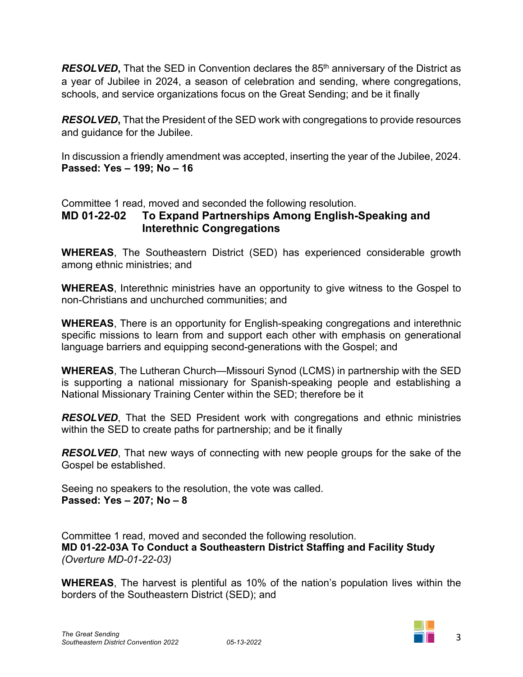**RESOLVED**, That the SED in Convention declares the 85<sup>th</sup> anniversary of the District as a year of Jubilee in 2024, a season of celebration and sending, where congregations, schools, and service organizations focus on the Great Sending; and be it finally

*RESOLVED***,** That the President of the SED work with congregations to provide resources and guidance for the Jubilee.

In discussion a friendly amendment was accepted, inserting the year of the Jubilee, 2024. **Passed: Yes – 199; No – 16**

Committee 1 read, moved and seconded the following resolution.

# **MD 01-22-02 To Expand Partnerships Among English-Speaking and Interethnic Congregations**

**WHEREAS**, The Southeastern District (SED) has experienced considerable growth among ethnic ministries; and

**WHEREAS**, Interethnic ministries have an opportunity to give witness to the Gospel to non-Christians and unchurched communities; and

**WHEREAS**, There is an opportunity for English-speaking congregations and interethnic specific missions to learn from and support each other with emphasis on generational language barriers and equipping second-generations with the Gospel; and

**WHEREAS**, The Lutheran Church—Missouri Synod (LCMS) in partnership with the SED is supporting a national missionary for Spanish-speaking people and establishing a National Missionary Training Center within the SED; therefore be it

*RESOLVED*, That the SED President work with congregations and ethnic ministries within the SED to create paths for partnership; and be it finally

*RESOLVED*, That new ways of connecting with new people groups for the sake of the Gospel be established.

Seeing no speakers to the resolution, the vote was called. **Passed: Yes – 207; No – 8**

Committee 1 read, moved and seconded the following resolution. **MD 01-22-03A To Conduct a Southeastern District Staffing and Facility Study** *(Overture MD-01-22-03)*

**WHEREAS**, The harvest is plentiful as 10% of the nation's population lives within the borders of the Southeastern District (SED); and

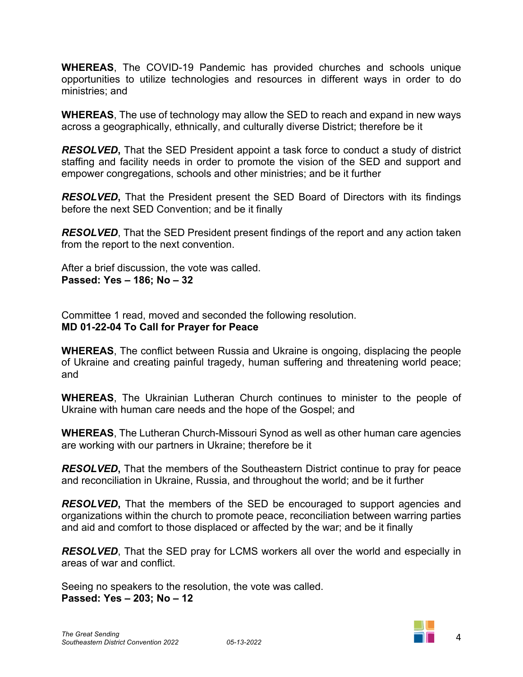**WHEREAS**, The COVID-19 Pandemic has provided churches and schools unique opportunities to utilize technologies and resources in different ways in order to do ministries; and

**WHEREAS**, The use of technology may allow the SED to reach and expand in new ways across a geographically, ethnically, and culturally diverse District; therefore be it

*RESOLVED***,** That the SED President appoint a task force to conduct a study of district staffing and facility needs in order to promote the vision of the SED and support and empower congregations, schools and other ministries; and be it further

*RESOLVED***,** That the President present the SED Board of Directors with its findings before the next SED Convention; and be it finally

*RESOLVED*, That the SED President present findings of the report and any action taken from the report to the next convention.

After a brief discussion, the vote was called. **Passed: Yes – 186; No – 32**

Committee 1 read, moved and seconded the following resolution. **MD 01-22-04 To Call for Prayer for Peace**

**WHEREAS**, The conflict between Russia and Ukraine is ongoing, displacing the people of Ukraine and creating painful tragedy, human suffering and threatening world peace; and

**WHEREAS**, The Ukrainian Lutheran Church continues to minister to the people of Ukraine with human care needs and the hope of the Gospel; and

**WHEREAS**, The Lutheran Church-Missouri Synod as well as other human care agencies are working with our partners in Ukraine; therefore be it

*RESOLVED***,** That the members of the Southeastern District continue to pray for peace and reconciliation in Ukraine, Russia, and throughout the world; and be it further

*RESOLVED***,** That the members of the SED be encouraged to support agencies and organizations within the church to promote peace, reconciliation between warring parties and aid and comfort to those displaced or affected by the war; and be it finally

*RESOLVED*, That the SED pray for LCMS workers all over the world and especially in areas of war and conflict.

Seeing no speakers to the resolution, the vote was called. **Passed: Yes – 203; No – 12**

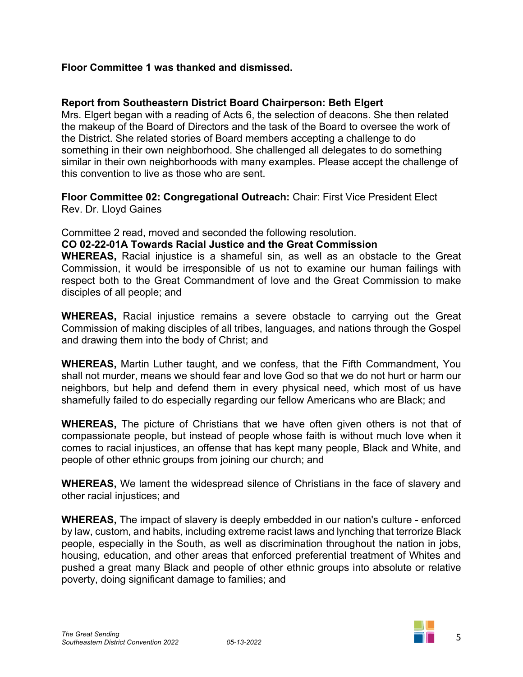## **Floor Committee 1 was thanked and dismissed.**

## **Report from Southeastern District Board Chairperson: Beth Elgert**

Mrs. Elgert began with a reading of Acts 6, the selection of deacons. She then related the makeup of the Board of Directors and the task of the Board to oversee the work of the District. She related stories of Board members accepting a challenge to do something in their own neighborhood. She challenged all delegates to do something similar in their own neighborhoods with many examples. Please accept the challenge of this convention to live as those who are sent.

**Floor Committee 02: Congregational Outreach:** Chair: First Vice President Elect Rev. Dr. Lloyd Gaines

Committee 2 read, moved and seconded the following resolution.

#### **CO 02-22-01A Towards Racial Justice and the Great Commission**

**WHEREAS,** Racial injustice is a shameful sin, as well as an obstacle to the Great Commission, it would be irresponsible of us not to examine our human failings with respect both to the Great Commandment of love and the Great Commission to make disciples of all people; and

**WHEREAS,** Racial injustice remains a severe obstacle to carrying out the Great Commission of making disciples of all tribes, languages, and nations through the Gospel and drawing them into the body of Christ; and

**WHEREAS,** Martin Luther taught, and we confess, that the Fifth Commandment, You shall not murder, means we should fear and love God so that we do not hurt or harm our neighbors, but help and defend them in every physical need, which most of us have shamefully failed to do especially regarding our fellow Americans who are Black; and

**WHEREAS,** The picture of Christians that we have often given others is not that of compassionate people, but instead of people whose faith is without much love when it comes to racial injustices, an offense that has kept many people, Black and White, and people of other ethnic groups from joining our church; and

**WHEREAS,** We lament the widespread silence of Christians in the face of slavery and other racial injustices; and

**WHEREAS,** The impact of slavery is deeply embedded in our nation's culture - enforced by law, custom, and habits, including extreme racist laws and lynching that terrorize Black people, especially in the South, as well as discrimination throughout the nation in jobs, housing, education, and other areas that enforced preferential treatment of Whites and pushed a great many Black and people of other ethnic groups into absolute or relative poverty, doing significant damage to families; and

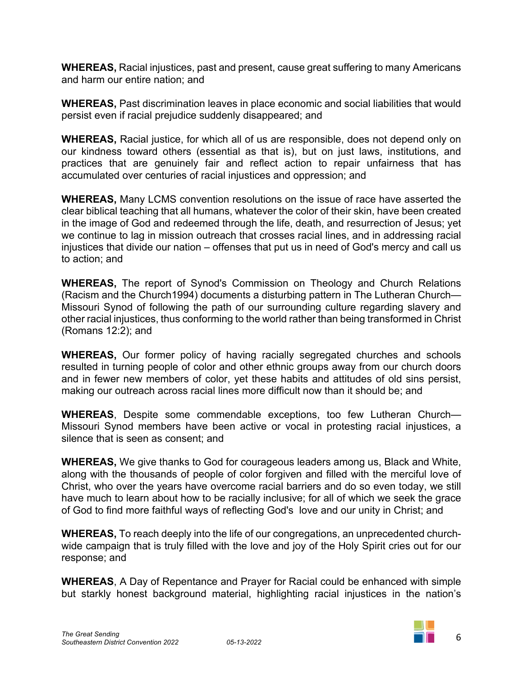**WHEREAS,** Racial injustices, past and present, cause great suffering to many Americans and harm our entire nation; and

**WHEREAS,** Past discrimination leaves in place economic and social liabilities that would persist even if racial prejudice suddenly disappeared; and

**WHEREAS,** Racial justice, for which all of us are responsible, does not depend only on our kindness toward others (essential as that is), but on just laws, institutions, and practices that are genuinely fair and reflect action to repair unfairness that has accumulated over centuries of racial injustices and oppression; and

**WHEREAS,** Many LCMS convention resolutions on the issue of race have asserted the clear biblical teaching that all humans, whatever the color of their skin, have been created in the image of God and redeemed through the life, death, and resurrection of Jesus; yet we continue to lag in mission outreach that crosses racial lines, and in addressing racial injustices that divide our nation – offenses that put us in need of God's mercy and call us to action; and

**WHEREAS,** The report of Synod's Commission on Theology and Church Relations (Racism and the Church1994) documents a disturbing pattern in The Lutheran Church— Missouri Synod of following the path of our surrounding culture regarding slavery and other racial injustices, thus conforming to the world rather than being transformed in Christ (Romans 12:2); and

**WHEREAS,** Our former policy of having racially segregated churches and schools resulted in turning people of color and other ethnic groups away from our church doors and in fewer new members of color, yet these habits and attitudes of old sins persist, making our outreach across racial lines more difficult now than it should be; and

**WHEREAS**, Despite some commendable exceptions, too few Lutheran Church— Missouri Synod members have been active or vocal in protesting racial injustices, a silence that is seen as consent; and

**WHEREAS,** We give thanks to God for courageous leaders among us, Black and White, along with the thousands of people of color forgiven and filled with the merciful love of Christ, who over the years have overcome racial barriers and do so even today, we still have much to learn about how to be racially inclusive; for all of which we seek the grace of God to find more faithful ways of reflecting God's love and our unity in Christ; and

**WHEREAS,** To reach deeply into the life of our congregations, an unprecedented churchwide campaign that is truly filled with the love and joy of the Holy Spirit cries out for our response; and

**WHEREAS**, A Day of Repentance and Prayer for Racial could be enhanced with simple but starkly honest background material, highlighting racial injustices in the nation's

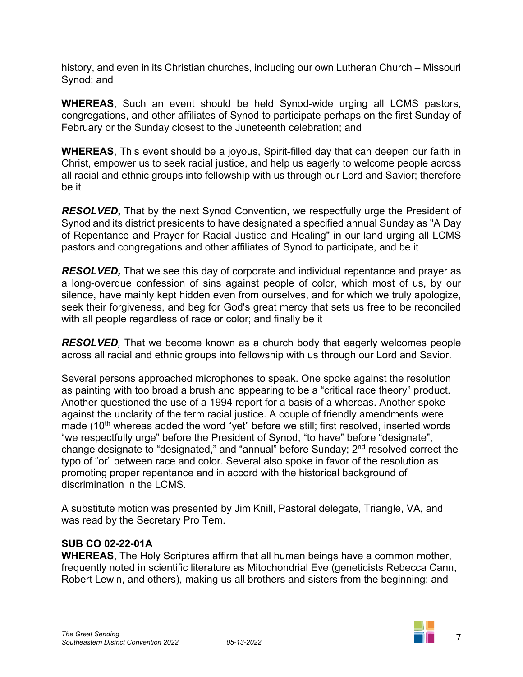history, and even in its Christian churches, including our own Lutheran Church – Missouri Synod; and

**WHEREAS**, Such an event should be held Synod-wide urging all LCMS pastors, congregations, and other affiliates of Synod to participate perhaps on the first Sunday of February or the Sunday closest to the Juneteenth celebration; and

**WHEREAS**, This event should be a joyous, Spirit-filled day that can deepen our faith in Christ, empower us to seek racial justice, and help us eagerly to welcome people across all racial and ethnic groups into fellowship with us through our Lord and Savior; therefore be it

*RESOLVED***,** That by the next Synod Convention, we respectfully urge the President of Synod and its district presidents to have designated a specified annual Sunday as "A Day of Repentance and Prayer for Racial Justice and Healing" in our land urging all LCMS pastors and congregations and other affiliates of Synod to participate, and be it

*RESOLVED,* That we see this day of corporate and individual repentance and prayer as a long-overdue confession of sins against people of color, which most of us, by our silence, have mainly kept hidden even from ourselves, and for which we truly apologize, seek their forgiveness, and beg for God's great mercy that sets us free to be reconciled with all people regardless of race or color; and finally be it

*RESOLVED,* That we become known as a church body that eagerly welcomes people across all racial and ethnic groups into fellowship with us through our Lord and Savior.

Several persons approached microphones to speak. One spoke against the resolution as painting with too broad a brush and appearing to be a "critical race theory" product. Another questioned the use of a 1994 report for a basis of a whereas. Another spoke against the unclarity of the term racial justice. A couple of friendly amendments were made (10<sup>th</sup> whereas added the word "yet" before we still; first resolved, inserted words "we respectfully urge" before the President of Synod, "to have" before "designate", change designate to "designated," and "annual" before Sunday; 2nd resolved correct the typo of "or" between race and color. Several also spoke in favor of the resolution as promoting proper repentance and in accord with the historical background of discrimination in the LCMS.

A substitute motion was presented by Jim Knill, Pastoral delegate, Triangle, VA, and was read by the Secretary Pro Tem.

#### **SUB CO 02-22-01A**

**WHEREAS**, The Holy Scriptures affirm that all human beings have a common mother, frequently noted in scientific literature as Mitochondrial Eve (geneticists Rebecca Cann, Robert Lewin, and others), making us all brothers and sisters from the beginning; and

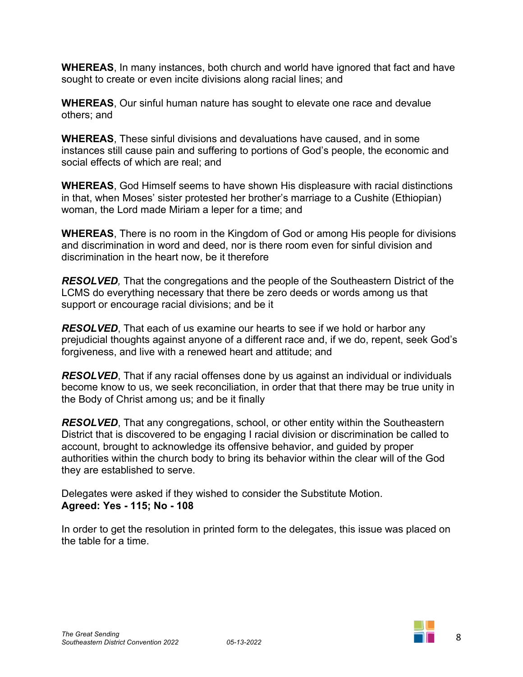**WHEREAS**, In many instances, both church and world have ignored that fact and have sought to create or even incite divisions along racial lines; and

**WHEREAS**, Our sinful human nature has sought to elevate one race and devalue others; and

**WHEREAS**, These sinful divisions and devaluations have caused, and in some instances still cause pain and suffering to portions of God's people, the economic and social effects of which are real; and

**WHEREAS**, God Himself seems to have shown His displeasure with racial distinctions in that, when Moses' sister protested her brother's marriage to a Cushite (Ethiopian) woman, the Lord made Miriam a leper for a time; and

**WHEREAS**, There is no room in the Kingdom of God or among His people for divisions and discrimination in word and deed, nor is there room even for sinful division and discrimination in the heart now, be it therefore

*RESOLVED,* That the congregations and the people of the Southeastern District of the LCMS do everything necessary that there be zero deeds or words among us that support or encourage racial divisions; and be it

*RESOLVED*, That each of us examine our hearts to see if we hold or harbor any prejudicial thoughts against anyone of a different race and, if we do, repent, seek God's forgiveness, and live with a renewed heart and attitude; and

*RESOLVED*, That if any racial offenses done by us against an individual or individuals become know to us, we seek reconciliation, in order that that there may be true unity in the Body of Christ among us; and be it finally

*RESOLVED*, That any congregations, school, or other entity within the Southeastern District that is discovered to be engaging I racial division or discrimination be called to account, brought to acknowledge its offensive behavior, and guided by proper authorities within the church body to bring its behavior within the clear will of the God they are established to serve.

Delegates were asked if they wished to consider the Substitute Motion. **Agreed: Yes - 115; No - 108**

In order to get the resolution in printed form to the delegates, this issue was placed on the table for a time.

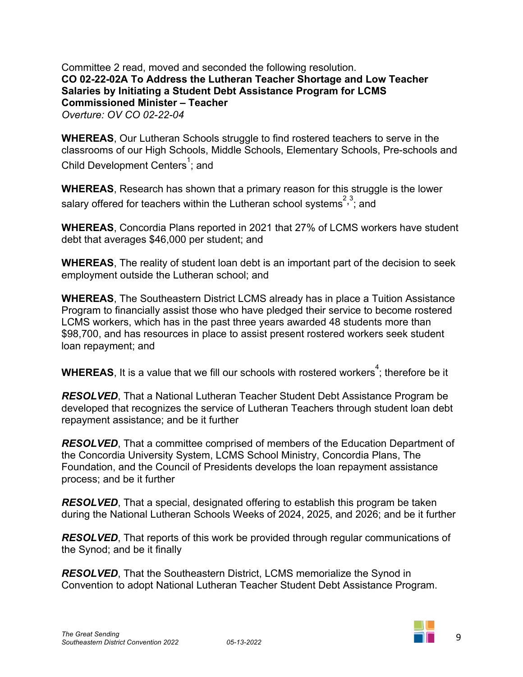Committee 2 read, moved and seconded the following resolution. **CO 02-22-02A To Address the Lutheran Teacher Shortage and Low Teacher Salaries by Initiating a Student Debt Assistance Program for LCMS Commissioned Minister – Teacher** *Overture: OV CO 02-22-04* 

**WHEREAS**, Our Lutheran Schools struggle to find rostered teachers to serve in the classrooms of our High Schools, Middle Schools, Elementary Schools, Pre-schools and Child Development Centers<sup>1</sup>; and

**WHEREAS**, Research has shown that a primary reason for this struggle is the lower salary offered for teachers within the Lutheran school systems<sup>2,3</sup>; and

**WHEREAS**, Concordia Plans reported in 2021 that 27% of LCMS workers have student debt that averages \$46,000 per student; and

**WHEREAS**, The reality of student loan debt is an important part of the decision to seek employment outside the Lutheran school; and

**WHEREAS**, The Southeastern District LCMS already has in place a Tuition Assistance Program to financially assist those who have pledged their service to become rostered LCMS workers, which has in the past three years awarded 48 students more than \$98,700, and has resources in place to assist present rostered workers seek student loan repayment; and

 $\textbf{WHEREAS}$ , It is a value that we fill our schools with rostered workers $^4$ ; therefore be it

*RESOLVED*, That a National Lutheran Teacher Student Debt Assistance Program be developed that recognizes the service of Lutheran Teachers through student loan debt repayment assistance; and be it further

*RESOLVED*, That a committee comprised of members of the Education Department of the Concordia University System, LCMS School Ministry, Concordia Plans, The Foundation, and the Council of Presidents develops the loan repayment assistance process; and be it further

*RESOLVED*, That a special, designated offering to establish this program be taken during the National Lutheran Schools Weeks of 2024, 2025, and 2026; and be it further

*RESOLVED*, That reports of this work be provided through regular communications of the Synod; and be it finally

*RESOLVED*, That the Southeastern District, LCMS memorialize the Synod in Convention to adopt National Lutheran Teacher Student Debt Assistance Program.

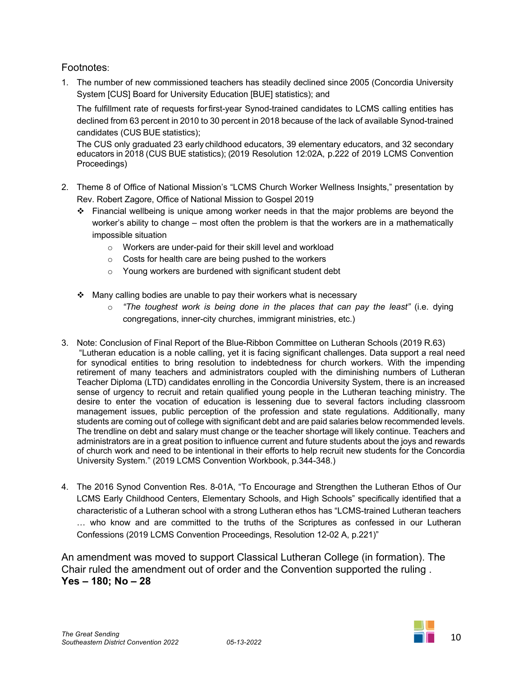#### Footnotes:

1. The number of new commissioned teachers has steadily declined since 2005 (Concordia University System [CUS] Board for University Education [BUE] statistics); and

The fulfillment rate of requests forfirst-year Synod-trained candidates to LCMS calling entities has declined from 63 percent in 2010 to 30 percent in 2018 because of the lack of available Synod-trained candidates (CUS BUE statistics);

The CUS only graduated 23 early childhood educators, 39 elementary educators, and 32 secondary educators in 2018 (CUS BUE statistics); (2019 Resolution 12:02A, p.222 of 2019 LCMS Convention Proceedings)

- 2. Theme 8 of Office of National Mission's "LCMS Church Worker Wellness Insights," presentation by Rev. Robert Zagore, Office of National Mission to Gospel 2019
	- $\div$  Financial wellbeing is unique among worker needs in that the major problems are beyond the worker's ability to change – most often the problem is that the workers are in a mathematically impossible situation
		- o Workers are under-paid for their skill level and workload
		- o Costs for health care are being pushed to the workers
		- o Young workers are burdened with significant student debt
	- $\cdot$  Many calling bodies are unable to pay their workers what is necessary
		- o *"The toughest work is being done in the places that can pay the least"* (i.e. dying congregations, inner-city churches, immigrant ministries, etc.)
- 3. Note: Conclusion of Final Report of the Blue-Ribbon Committee on Lutheran Schools (2019 R.63) "Lutheran education is a noble calling, yet it is facing significant challenges. Data support a real need for synodical entities to bring resolution to indebtedness for church workers. With the impending retirement of many teachers and administrators coupled with the diminishing numbers of Lutheran Teacher Diploma (LTD) candidates enrolling in the Concordia University System, there is an increased sense of urgency to recruit and retain qualified young people in the Lutheran teaching ministry. The desire to enter the vocation of education is lessening due to several factors including classroom management issues, public perception of the profession and state regulations. Additionally, many students are coming out of college with significant debt and are paid salaries below recommended levels. The trendline on debt and salary must change or the teacher shortage will likely continue. Teachers and administrators are in a great position to influence current and future students about the joys and rewards of church work and need to be intentional in their efforts to help recruit new students for the Concordia University System." (2019 LCMS Convention Workbook, p.344-348.)
- 4. The 2016 Synod Convention Res. 8-01A, "To Encourage and Strengthen the Lutheran Ethos of Our LCMS Early Childhood Centers, Elementary Schools, and High Schools" specifically identified that a characteristic of a Lutheran school with a strong Lutheran ethos has "LCMS-trained Lutheran teachers … who know and are committed to the truths of the Scriptures as confessed in our Lutheran Confessions (2019 LCMS Convention Proceedings, Resolution 12-02 A, p.221)"

An amendment was moved to support Classical Lutheran College (in formation). The Chair ruled the amendment out of order and the Convention supported the ruling . **Yes – 180; No – 28**

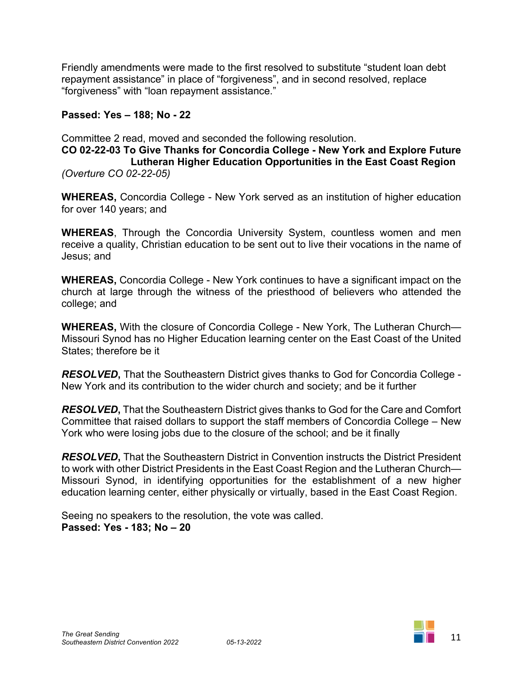Friendly amendments were made to the first resolved to substitute "student loan debt repayment assistance" in place of "forgiveness", and in second resolved, replace "forgiveness" with "loan repayment assistance."

#### **Passed: Yes – 188; No - 22**

Committee 2 read, moved and seconded the following resolution. **CO 02-22-03 To Give Thanks for Concordia College - New York and Explore Future Lutheran Higher Education Opportunities in the East Coast Region** *(Overture CO 02-22-05)*

**WHEREAS,** Concordia College - New York served as an institution of higher education for over 140 years; and

**WHEREAS**, Through the Concordia University System, countless women and men receive a quality, Christian education to be sent out to live their vocations in the name of Jesus; and

**WHEREAS,** Concordia College - New York continues to have a significant impact on the church at large through the witness of the priesthood of believers who attended the college; and

**WHEREAS,** With the closure of Concordia College - New York, The Lutheran Church— Missouri Synod has no Higher Education learning center on the East Coast of the United States; therefore be it

*RESOLVED***,** That the Southeastern District gives thanks to God for Concordia College - New York and its contribution to the wider church and society; and be it further

*RESOLVED***,** That the Southeastern District gives thanks to God for the Care and Comfort Committee that raised dollars to support the staff members of Concordia College – New York who were losing jobs due to the closure of the school; and be it finally

*RESOLVED***,** That the Southeastern District in Convention instructs the District President to work with other District Presidents in the East Coast Region and the Lutheran Church— Missouri Synod, in identifying opportunities for the establishment of a new higher education learning center, either physically or virtually, based in the East Coast Region.

Seeing no speakers to the resolution, the vote was called. **Passed: Yes - 183; No – 20**

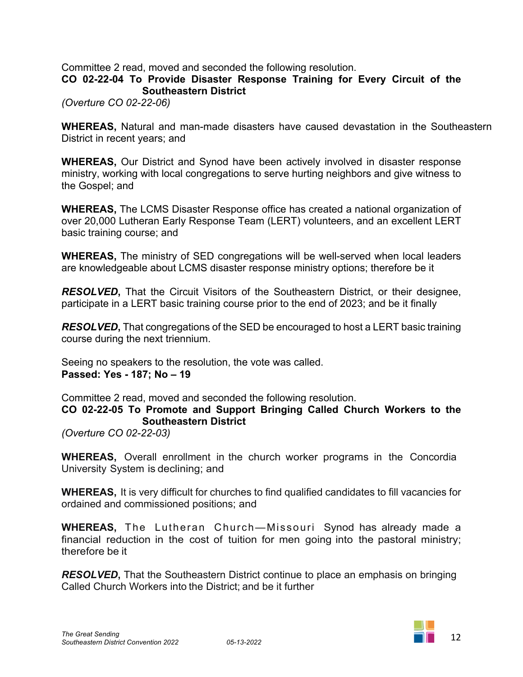Committee 2 read, moved and seconded the following resolution.

**CO 02-22-04 To Provide Disaster Response Training for Every Circuit of the Southeastern District**

*(Overture CO 02-22-06)*

**WHEREAS,** Natural and man-made disasters have caused devastation in the Southeastern District in recent years; and

**WHEREAS,** Our District and Synod have been actively involved in disaster response ministry, working with local congregations to serve hurting neighbors and give witness to the Gospel; and

**WHEREAS,** The LCMS Disaster Response office has created a national organization of over 20,000 Lutheran Early Response Team (LERT) volunteers, and an excellent LERT basic training course; and

**WHEREAS,** The ministry of SED congregations will be well-served when local leaders are knowledgeable about LCMS disaster response ministry options; therefore be it

*RESOLVED***,** That the Circuit Visitors of the Southeastern District, or their designee, participate in a LERT basic training course prior to the end of 2023; and be it finally

*RESOLVED***,** That congregations of the SED be encouraged to host a LERT basic training course during the next triennium.

Seeing no speakers to the resolution, the vote was called. **Passed: Yes - 187; No – 19**

Committee 2 read, moved and seconded the following resolution.

**CO 02-22-05 To Promote and Support Bringing Called Church Workers to the Southeastern District**

*(Overture CO 02-22-03)*

**WHEREAS,** Overall enrollment in the church worker programs in the Concordia University System is declining; and

**WHEREAS,** It is very difficult for churches to find qualified candidates to fill vacancies for ordained and commissioned positions; and

**WHEREAS,** The Lutheran Church—Missouri Synod has already made a financial reduction in the cost of tuition for men going into the pastoral ministry; therefore be it

*RESOLVED***,** That the Southeastern District continue to place an emphasis on bringing Called Church Workers into the District; and be it further

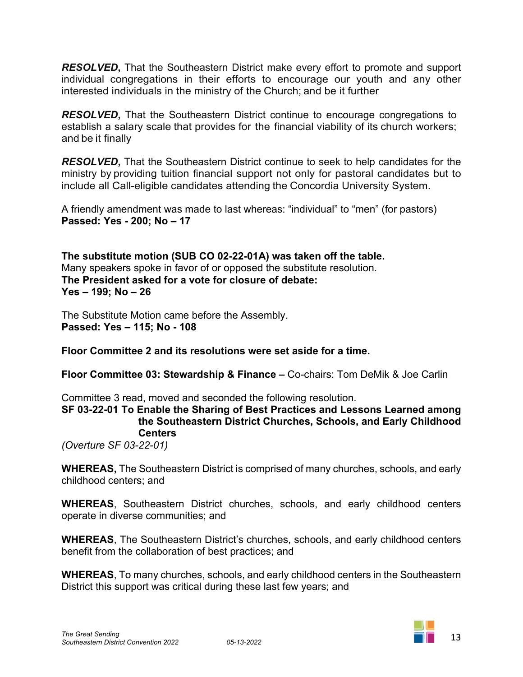*RESOLVED***,** That the Southeastern District make every effort to promote and support individual congregations in their efforts to encourage our youth and any other interested individuals in the ministry of the Church; and be it further

*RESOLVED***,** That the Southeastern District continue to encourage congregations to establish a salary scale that provides for the financial viability of its church workers; and be it finally

*RESOLVED***,** That the Southeastern District continue to seek to help candidates for the ministry by providing tuition financial support not only for pastoral candidates but to include all Call-eligible candidates attending the Concordia University System.

A friendly amendment was made to last whereas: "individual" to "men" (for pastors) **Passed: Yes - 200; No – 17**

**The substitute motion (SUB CO 02-22-01A) was taken off the table.**  Many speakers spoke in favor of or opposed the substitute resolution. **The President asked for a vote for closure of debate: Yes – 199; No – 26**

The Substitute Motion came before the Assembly. **Passed: Yes – 115; No - 108**

**Floor Committee 2 and its resolutions were set aside for a time.**

**Floor Committee 03: Stewardship & Finance –** Co-chairs: Tom DeMik & Joe Carlin

Committee 3 read, moved and seconded the following resolution.

**SF 03-22-01 To Enable the Sharing of Best Practices and Lessons Learned among the Southeastern District Churches, Schools, and Early Childhood Centers**

*(Overture SF 03-22-01)*

**WHEREAS,** The Southeastern District is comprised of many churches, schools, and early childhood centers; and

**WHEREAS**, Southeastern District churches, schools, and early childhood centers operate in diverse communities; and

**WHEREAS**, The Southeastern District's churches, schools, and early childhood centers benefit from the collaboration of best practices; and

**WHEREAS**, To many churches, schools, and early childhood centers in the Southeastern District this support was critical during these last few years; and

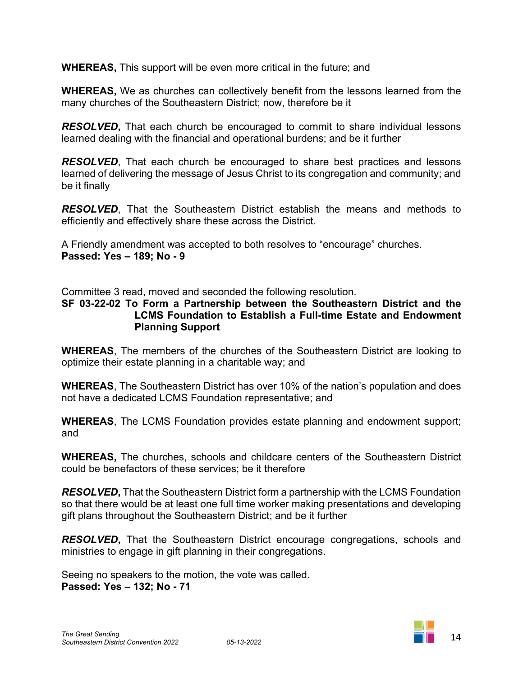**WHEREAS,** This support will be even more critical in the future; and

**WHEREAS,** We as churches can collectively benefit from the lessons learned from the many churches of the Southeastern District; now, therefore be it

*RESOLVED***,** That each church be encouraged to commit to share individual lessons learned dealing with the financial and operational burdens; and be it further

*RESOLVED*, That each church be encouraged to share best practices and lessons learned of delivering the message of Jesus Christ to its congregation and community; and be it finally

*RESOLVED*, That the Southeastern District establish the means and methods to efficiently and effectively share these across the District.

A Friendly amendment was accepted to both resolves to "encourage" churches. **Passed: Yes – 189; No - 9**

Committee 3 read, moved and seconded the following resolution.

#### **SF 03-22-02 To Form a Partnership between the Southeastern District and the LCMS Foundation to Establish a Full-time Estate and Endowment Planning Support**

**WHEREAS**, The members of the churches of the Southeastern District are looking to optimize their estate planning in a charitable way; and

**WHEREAS**, The Southeastern District has over 10% of the nation's population and does not have a dedicated LCMS Foundation representative; and

**WHEREAS**, The LCMS Foundation provides estate planning and endowment support; and

**WHEREAS,** The churches, schools and childcare centers of the Southeastern District could be benefactors of these services; be it therefore

*RESOLVED***,** That the Southeastern District form a partnership with the LCMS Foundation so that there would be at least one full time worker making presentations and developing gift plans throughout the Southeastern District; and be it further

*RESOLVED***,** That the Southeastern District encourage congregations, schools and ministries to engage in gift planning in their congregations.

Seeing no speakers to the motion, the vote was called. **Passed: Yes – 132; No - 71**

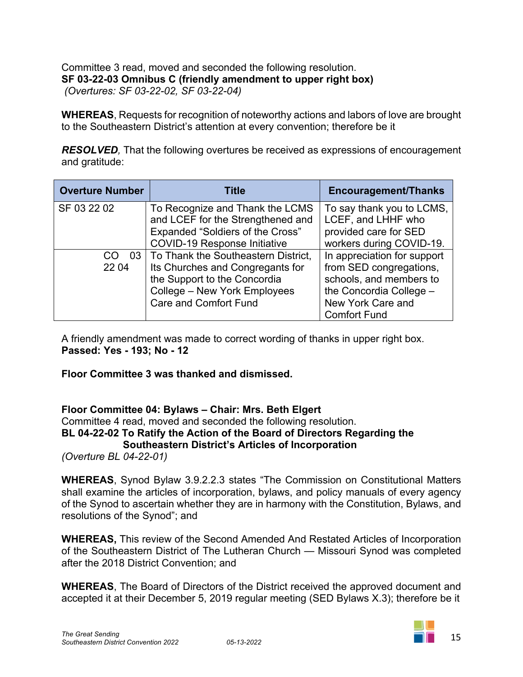Committee 3 read, moved and seconded the following resolution. **SF 03-22-03 Omnibus C (friendly amendment to upper right box)** *(Overtures: SF 03-22-02, SF 03-22-04)*

**WHEREAS**, Requests for recognition of noteworthy actions and labors of love are brought to the Southeastern District's attention at every convention; therefore be it

*RESOLVED,* That the following overtures be received as expressions of encouragement and gratitude:

| <b>Overture Number</b> | Title                                                                                                                                                                        | <b>Encouragement/Thanks</b>                                                                                                                              |
|------------------------|------------------------------------------------------------------------------------------------------------------------------------------------------------------------------|----------------------------------------------------------------------------------------------------------------------------------------------------------|
| SF 03 22 02            | To Recognize and Thank the LCMS<br>and LCEF for the Strengthened and<br>Expanded "Soldiers of the Cross"<br><b>COVID-19 Response Initiative</b>                              | To say thank you to LCMS,<br>LCEF, and LHHF who<br>provided care for SED<br>workers during COVID-19.                                                     |
| CO<br>22 04            | 03   To Thank the Southeastern District,<br>Its Churches and Congregants for<br>the Support to the Concordia<br>College - New York Employees<br><b>Care and Comfort Fund</b> | In appreciation for support<br>from SED congregations,<br>schools, and members to<br>the Concordia College -<br>New York Care and<br><b>Comfort Fund</b> |

A friendly amendment was made to correct wording of thanks in upper right box. **Passed: Yes - 193; No - 12**

**Floor Committee 3 was thanked and dismissed.**

#### **Floor Committee 04: Bylaws – Chair: Mrs. Beth Elgert**

Committee 4 read, moved and seconded the following resolution. **BL 04-22-02 To Ratify the Action of the Board of Directors Regarding the Southeastern District's Articles of Incorporation**

*(Overture BL 04-22-01)*

**WHEREAS**, Synod Bylaw 3.9.2.2.3 states "The Commission on Constitutional Matters shall examine the articles of incorporation, bylaws, and policy manuals of every agency of the Synod to ascertain whether they are in harmony with the Constitution, Bylaws, and resolutions of the Synod"; and

**WHEREAS,** This review of the Second Amended And Restated Articles of Incorporation of the Southeastern District of The Lutheran Church — Missouri Synod was completed after the 2018 District Convention; and

**WHEREAS**, The Board of Directors of the District received the approved document and accepted it at their December 5, 2019 regular meeting (SED Bylaws X.3); therefore be it

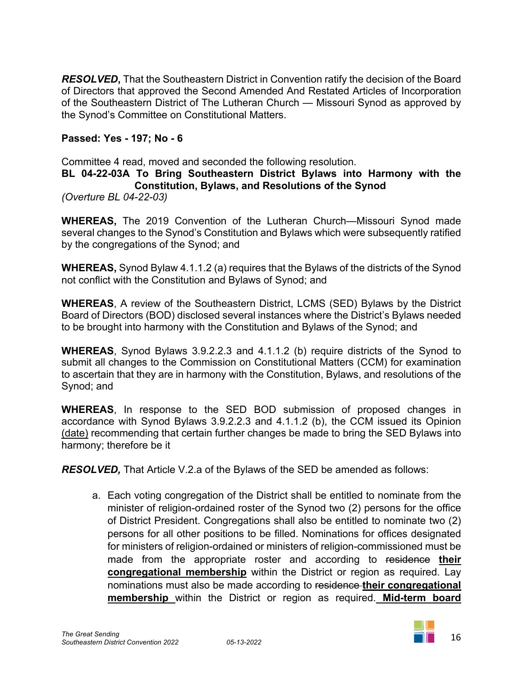*RESOLVED***,** That the Southeastern District in Convention ratify the decision of the Board of Directors that approved the Second Amended And Restated Articles of Incorporation of the Southeastern District of The Lutheran Church — Missouri Synod as approved by the Synod's Committee on Constitutional Matters.

## **Passed: Yes - 197; No - 6**

Committee 4 read, moved and seconded the following resolution.

#### **BL 04-22-03A To Bring Southeastern District Bylaws into Harmony with the Constitution, Bylaws, and Resolutions of the Synod**

*(Overture BL 04-22-03)*

**WHEREAS,** The 2019 Convention of the Lutheran Church—Missouri Synod made several changes to the Synod's Constitution and Bylaws which were subsequently ratified by the congregations of the Synod; and

**WHEREAS,** Synod Bylaw 4.1.1.2 (a) requires that the Bylaws of the districts of the Synod not conflict with the Constitution and Bylaws of Synod; and

**WHEREAS**, A review of the Southeastern District, LCMS (SED) Bylaws by the District Board of Directors (BOD) disclosed several instances where the District's Bylaws needed to be brought into harmony with the Constitution and Bylaws of the Synod; and

**WHEREAS**, Synod Bylaws 3.9.2.2.3 and 4.1.1.2 (b) require districts of the Synod to submit all changes to the Commission on Constitutional Matters (CCM) for examination to ascertain that they are in harmony with the Constitution, Bylaws, and resolutions of the Synod; and

**WHEREAS**, In response to the SED BOD submission of proposed changes in accordance with Synod Bylaws 3.9.2.2.3 and 4.1.1.2 (b), the CCM issued its Opinion (date) recommending that certain further changes be made to bring the SED Bylaws into harmony; therefore be it

*RESOLVED,* That Article V.2.a of the Bylaws of the SED be amended as follows:

a. Each voting congregation of the District shall be entitled to nominate from the minister of religion-ordained roster of the Synod two (2) persons for the office of District President. Congregations shall also be entitled to nominate two (2) persons for all other positions to be filled. Nominations for offices designated for ministers of religion-ordained or ministers of religion-commissioned must be made from the appropriate roster and according to residence **their congregational membership** within the District or region as required. Lay nominations must also be made according to residence **their congregational membership** within the District or region as required. **Mid-term board**

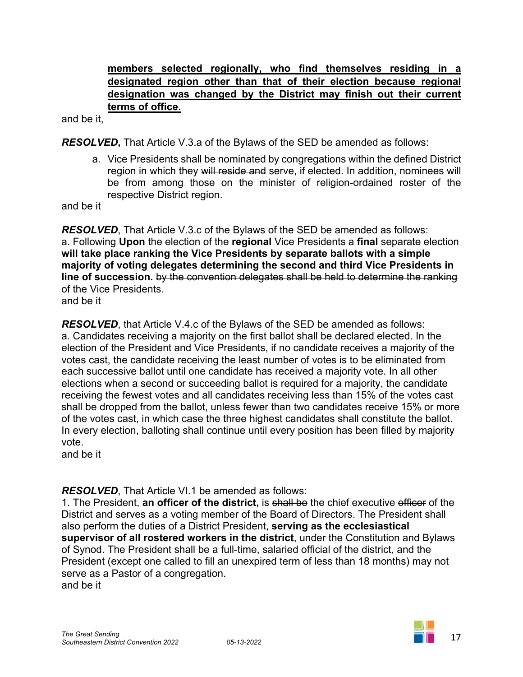# **members selected regionally, who find themselves residing in a designated region other than that of their election because regional designation was changed by the District may finish out their current terms of office.**

and be it,

*RESOLVED***,** That Article V.3.a of the Bylaws of the SED be amended as follows:

a. Vice Presidents shall be nominated by congregations within the defined District region in which they will reside and serve, if elected. In addition, nominees will be from among those on the minister of religion-ordained roster of the respective District region.

and be it

*RESOLVED*, That Article V.3.c of the Bylaws of the SED be amended as follows: a. Following **Upon** the election of the **regional** Vice Presidents a **final** separate election **will take place ranking the Vice Presidents by separate ballots with a simple majority of voting delegates determining the second and third Vice Presidents in line of succession.** by the convention delegates shall be held to determine the ranking of the Vice Presidents.

and be it

*RESOLVED*, that Article V.4.c of the Bylaws of the SED be amended as follows: a. Candidates receiving a majority on the first ballot shall be declared elected. In the election of the President and Vice Presidents, if no candidate receives a majority of the votes cast, the candidate receiving the least number of votes is to be eliminated from each successive ballot until one candidate has received a majority vote. In all other elections when a second or succeeding ballot is required for a majority, the candidate receiving the fewest votes and all candidates receiving less than 15% of the votes cast shall be dropped from the ballot, unless fewer than two candidates receive 15% or more of the votes cast, in which case the three highest candidates shall constitute the ballot. In every election, balloting shall continue until every position has been filled by majority vote.

and be it

#### *RESOLVED*, That Article VI.1 be amended as follows:

1. The President, **an officer of the district,** is shall be the chief executive officer of the District and serves as a voting member of the Board of Directors. The President shall also perform the duties of a District President, **serving as the ecclesiastical supervisor of all rostered workers in the district**, under the Constitution and Bylaws of Synod. The President shall be a full-time, salaried official of the district, and the President (except one called to fill an unexpired term of less than 18 months) may not serve as a Pastor of a congregation.

and be it

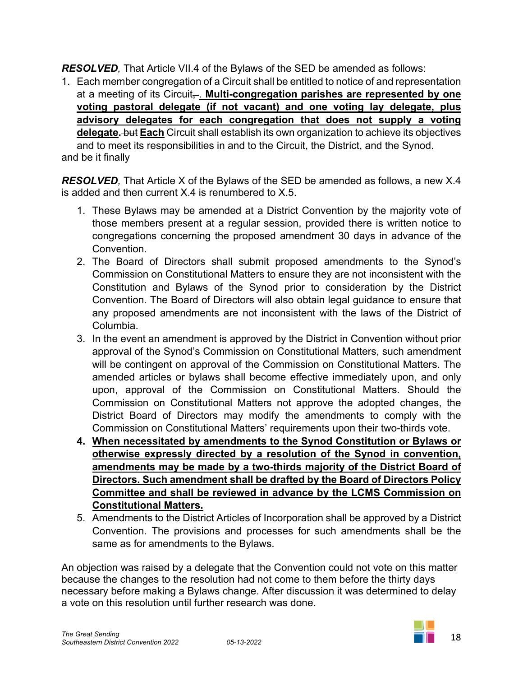*RESOLVED,* That Article VII.4 of the Bylaws of the SED be amended as follows:

1. Each member congregation of a Circuit shall be entitled to notice of and representation at a meeting of its Circuit<sub></sub>. Multi-congregation parishes are represented by one **voting pastoral delegate (if not vacant) and one voting lay delegate, plus advisory delegates for each congregation that does not supply a voting delegate.** but **Each** Circuit shall establish its own organization to achieve its objectives and to meet its responsibilities in and to the Circuit, the District, and the Synod. and be it finally

*RESOLVED*, That Article X of the Bylaws of the SED be amended as follows, a new X.4 is added and then current X.4 is renumbered to X.5.

- 1. These Bylaws may be amended at a District Convention by the majority vote of those members present at a regular session, provided there is written notice to congregations concerning the proposed amendment 30 days in advance of the Convention.
- 2. The Board of Directors shall submit proposed amendments to the Synod's Commission on Constitutional Matters to ensure they are not inconsistent with the Constitution and Bylaws of the Synod prior to consideration by the District Convention. The Board of Directors will also obtain legal guidance to ensure that any proposed amendments are not inconsistent with the laws of the District of Columbia.
- 3. In the event an amendment is approved by the District in Convention without prior approval of the Synod's Commission on Constitutional Matters, such amendment will be contingent on approval of the Commission on Constitutional Matters. The amended articles or bylaws shall become effective immediately upon, and only upon, approval of the Commission on Constitutional Matters. Should the Commission on Constitutional Matters not approve the adopted changes, the District Board of Directors may modify the amendments to comply with the Commission on Constitutional Matters' requirements upon their two-thirds vote.
- **4. When necessitated by amendments to the Synod Constitution or Bylaws or otherwise expressly directed by a resolution of the Synod in convention, amendments may be made by a two-thirds majority of the District Board of Directors. Such amendment shall be drafted by the Board of Directors Policy Committee and shall be reviewed in advance by the LCMS Commission on Constitutional Matters.**
- 5. Amendments to the District Articles of Incorporation shall be approved by a District Convention. The provisions and processes for such amendments shall be the same as for amendments to the Bylaws.

An objection was raised by a delegate that the Convention could not vote on this matter because the changes to the resolution had not come to them before the thirty days necessary before making a Bylaws change. After discussion it was determined to delay a vote on this resolution until further research was done.

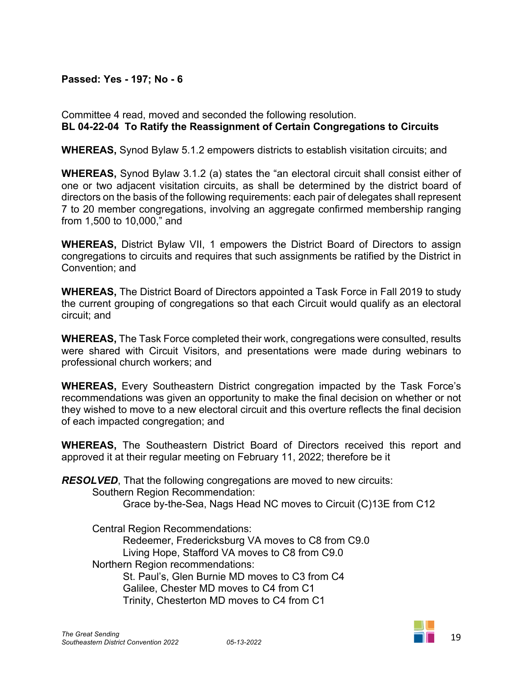## **Passed: Yes - 197; No - 6**

Committee 4 read, moved and seconded the following resolution. **BL 04-22-04 To Ratify the Reassignment of Certain Congregations to Circuits**

**WHEREAS,** Synod Bylaw 5.1.2 empowers districts to establish visitation circuits; and

**WHEREAS,** Synod Bylaw 3.1.2 (a) states the "an electoral circuit shall consist either of one or two adjacent visitation circuits, as shall be determined by the district board of directors on the basis of the following requirements: each pair of delegates shall represent 7 to 20 member congregations, involving an aggregate confirmed membership ranging from 1,500 to 10,000," and

**WHEREAS,** District Bylaw VII, 1 empowers the District Board of Directors to assign congregations to circuits and requires that such assignments be ratified by the District in Convention; and

**WHEREAS,** The District Board of Directors appointed a Task Force in Fall 2019 to study the current grouping of congregations so that each Circuit would qualify as an electoral circuit; and

**WHEREAS,** The Task Force completed their work, congregations were consulted, results were shared with Circuit Visitors, and presentations were made during webinars to professional church workers; and

**WHEREAS,** Every Southeastern District congregation impacted by the Task Force's recommendations was given an opportunity to make the final decision on whether or not they wished to move to a new electoral circuit and this overture reflects the final decision of each impacted congregation; and

**WHEREAS,** The Southeastern District Board of Directors received this report and approved it at their regular meeting on February 11, 2022; therefore be it

*RESOLVED*, That the following congregations are moved to new circuits: Southern Region Recommendation: Grace by-the-Sea, Nags Head NC moves to Circuit (C)13E from C12

Central Region Recommendations: Redeemer, Fredericksburg VA moves to C8 from C9.0 Living Hope, Stafford VA moves to C8 from C9.0 Northern Region recommendations: St. Paul's, Glen Burnie MD moves to C3 from C4 Galilee, Chester MD moves to C4 from C1 Trinity, Chesterton MD moves to C4 from C1

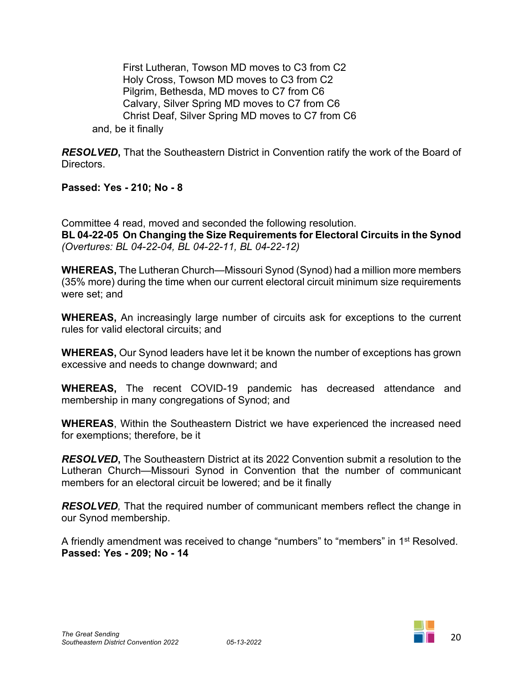First Lutheran, Towson MD moves to C3 from C2 Holy Cross, Towson MD moves to C3 from C2 Pilgrim, Bethesda, MD moves to C7 from C6 Calvary, Silver Spring MD moves to C7 from C6 Christ Deaf, Silver Spring MD moves to C7 from C6 and, be it finally

*RESOLVED***,** That the Southeastern District in Convention ratify the work of the Board of Directors.

**Passed: Yes - 210; No - 8**

Committee 4 read, moved and seconded the following resolution. **BL 04-22-05 On Changing the Size Requirements for Electoral Circuits in the Synod** *(Overtures: BL 04-22-04, BL 04-22-11, BL 04-22-12)*

**WHEREAS,** The Lutheran Church—Missouri Synod (Synod) had a million more members (35% more) during the time when our current electoral circuit minimum size requirements were set; and

**WHEREAS,** An increasingly large number of circuits ask for exceptions to the current rules for valid electoral circuits; and

**WHEREAS,** Our Synod leaders have let it be known the number of exceptions has grown excessive and needs to change downward; and

**WHEREAS,** The recent COVID-19 pandemic has decreased attendance and membership in many congregations of Synod; and

**WHEREAS**, Within the Southeastern District we have experienced the increased need for exemptions; therefore, be it

*RESOLVED***,** The Southeastern District at its 2022 Convention submit a resolution to the Lutheran Church—Missouri Synod in Convention that the number of communicant members for an electoral circuit be lowered; and be it finally

*RESOLVED,* That the required number of communicant members reflect the change in our Synod membership.

A friendly amendment was received to change "numbers" to "members" in 1st Resolved. **Passed: Yes - 209; No - 14**

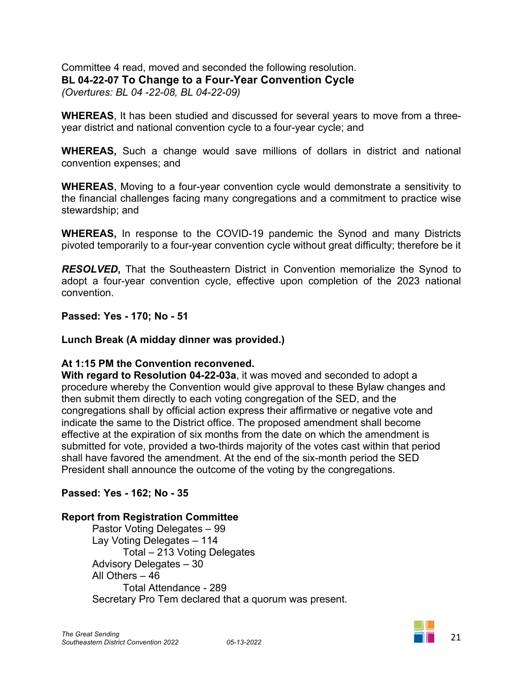Committee 4 read, moved and seconded the following resolution. **BL 04-22-07 To Change to a Four-Year Convention Cycle** *(Overtures: BL 04 -22-08, BL 04-22-09)*

**WHEREAS**, It has been studied and discussed for several years to move from a threeyear district and national convention cycle to a four-year cycle; and

**WHEREAS,** Such a change would save millions of dollars in district and national convention expenses; and

**WHEREAS**, Moving to a four-year convention cycle would demonstrate a sensitivity to the financial challenges facing many congregations and a commitment to practice wise stewardship; and

**WHEREAS,** In response to the COVID-19 pandemic the Synod and many Districts pivoted temporarily to a four-year convention cycle without great difficulty; therefore be it

*RESOLVED***,** That the Southeastern District in Convention memorialize the Synod to adopt a four-year convention cycle, effective upon completion of the 2023 national convention.

**Passed: Yes - 170; No - 51**

#### **Lunch Break (A midday dinner was provided.)**

#### **At 1:15 PM the Convention reconvened.**

**With regard to Resolution 04-22-03a**, it was moved and seconded to adopt a procedure whereby the Convention would give approval to these Bylaw changes and then submit them directly to each voting congregation of the SED, and the congregations shall by official action express their affirmative or negative vote and indicate the same to the District office. The proposed amendment shall become effective at the expiration of six months from the date on which the amendment is submitted for vote, provided a two-thirds majority of the votes cast within that period shall have favored the amendment. At the end of the six-month period the SED President shall announce the outcome of the voting by the congregations.

#### **Passed: Yes - 162; No - 35**

#### **Report from Registration Committee**

Pastor Voting Delegates – 99 Lay Voting Delegates – 114 Total – 213 Voting Delegates Advisory Delegates – 30 All Others – 46 Total Attendance - 289 Secretary Pro Tem declared that a quorum was present.

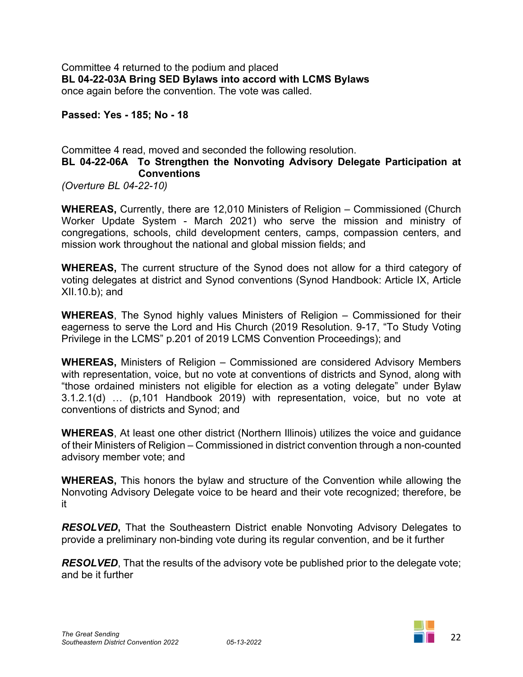Committee 4 returned to the podium and placed **BL 04-22-03A Bring SED Bylaws into accord with LCMS Bylaws** once again before the convention. The vote was called.

**Passed: Yes - 185; No - 18**

#### Committee 4 read, moved and seconded the following resolution. **BL 04-22-06A To Strengthen the Nonvoting Advisory Delegate Participation at Conventions**

*(Overture BL 04-22-10)*

**WHEREAS,** Currently, there are 12,010 Ministers of Religion – Commissioned (Church Worker Update System - March 2021) who serve the mission and ministry of congregations, schools, child development centers, camps, compassion centers, and mission work throughout the national and global mission fields; and

**WHEREAS,** The current structure of the Synod does not allow for a third category of voting delegates at district and Synod conventions (Synod Handbook: Article IX, Article XII.10.b); and

**WHEREAS**, The Synod highly values Ministers of Religion – Commissioned for their eagerness to serve the Lord and His Church (2019 Resolution. 9-17, "To Study Voting Privilege in the LCMS" p.201 of 2019 LCMS Convention Proceedings); and

**WHEREAS,** Ministers of Religion – Commissioned are considered Advisory Members with representation, voice, but no vote at conventions of districts and Synod, along with "those ordained ministers not eligible for election as a voting delegate" under Bylaw 3.1.2.1(d) … (p,101 Handbook 2019) with representation, voice, but no vote at conventions of districts and Synod; and

**WHEREAS**, At least one other district (Northern Illinois) utilizes the voice and guidance of their Ministers of Religion – Commissioned in district convention through a non-counted advisory member vote; and

**WHEREAS,** This honors the bylaw and structure of the Convention while allowing the Nonvoting Advisory Delegate voice to be heard and their vote recognized; therefore, be it

*RESOLVED***,** That the Southeastern District enable Nonvoting Advisory Delegates to provide a preliminary non-binding vote during its regular convention, and be it further

**RESOLVED**, That the results of the advisory vote be published prior to the delegate vote; and be it further

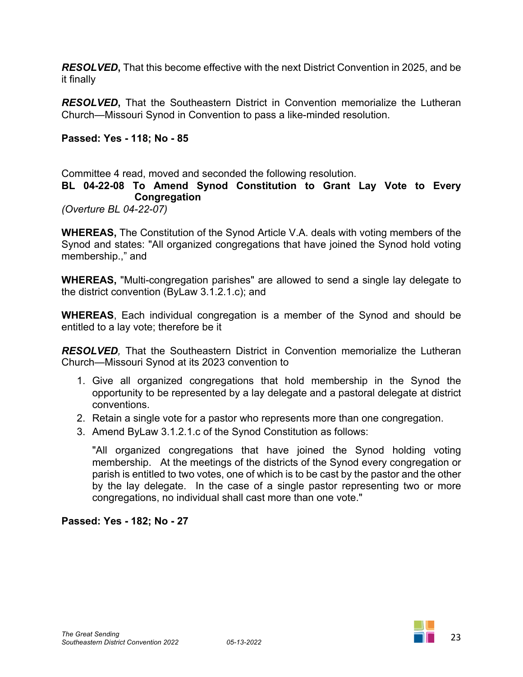*RESOLVED***,** That this become effective with the next District Convention in 2025, and be it finally

*RESOLVED***,** That the Southeastern District in Convention memorialize the Lutheran Church—Missouri Synod in Convention to pass a like-minded resolution.

#### **Passed: Yes - 118; No - 85**

Committee 4 read, moved and seconded the following resolution.

#### **BL 04-22-08 To Amend Synod Constitution to Grant Lay Vote to Every Congregation**

*(Overture BL 04-22-07)*

**WHEREAS,** The Constitution of the Synod Article V.A. deals with voting members of the Synod and states: "All organized congregations that have joined the Synod hold voting membership.," and

**WHEREAS,** "Multi-congregation parishes" are allowed to send a single lay delegate to the district convention (ByLaw 3.1.2.1.c); and

**WHEREAS**, Each individual congregation is a member of the Synod and should be entitled to a lay vote; therefore be it

*RESOLVED,* That the Southeastern District in Convention memorialize the Lutheran Church—Missouri Synod at its 2023 convention to

- 1. Give all organized congregations that hold membership in the Synod the opportunity to be represented by a lay delegate and a pastoral delegate at district conventions.
- 2. Retain a single vote for a pastor who represents more than one congregation.
- 3. Amend ByLaw 3.1.2.1.c of the Synod Constitution as follows:

"All organized congregations that have joined the Synod holding voting membership. At the meetings of the districts of the Synod every congregation or parish is entitled to two votes, one of which is to be cast by the pastor and the other by the lay delegate. In the case of a single pastor representing two or more congregations, no individual shall cast more than one vote."

#### **Passed: Yes - 182; No - 27**

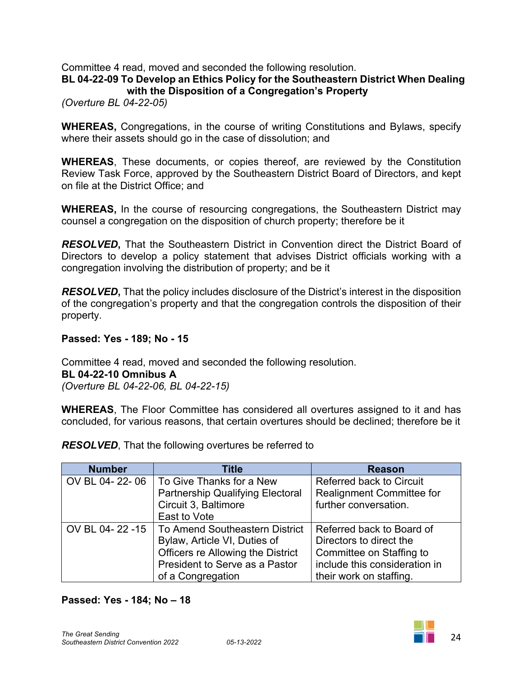Committee 4 read, moved and seconded the following resolution.

#### **BL 04-22-09 To Develop an Ethics Policy for the Southeastern District When Dealing with the Disposition of a Congregation's Property**

*(Overture BL 04-22-05)*

**WHEREAS,** Congregations, in the course of writing Constitutions and Bylaws, specify where their assets should go in the case of dissolution; and

**WHEREAS**, These documents, or copies thereof, are reviewed by the Constitution Review Task Force, approved by the Southeastern District Board of Directors, and kept on file at the District Office; and

**WHEREAS,** In the course of resourcing congregations, the Southeastern District may counsel a congregation on the disposition of church property; therefore be it

*RESOLVED***,** That the Southeastern District in Convention direct the District Board of Directors to develop a policy statement that advises District officials working with a congregation involving the distribution of property; and be it

*RESOLVED***,** That the policy includes disclosure of the District's interest in the disposition of the congregation's property and that the congregation controls the disposition of their property.

**Passed: Yes - 189; No - 15**

Committee 4 read, moved and seconded the following resolution. **BL 04-22-10 Omnibus A** *(Overture BL 04-22-06, BL 04-22-15)*

**WHEREAS**, The Floor Committee has considered all overtures assigned to it and has concluded, for various reasons, that certain overtures should be declined; therefore be it

| <b>Number</b>  | <b>Title</b>                            | <b>Reason</b>                    |
|----------------|-----------------------------------------|----------------------------------|
| OV BL 04-22-06 | To Give Thanks for a New                | <b>Referred back to Circuit</b>  |
|                | <b>Partnership Qualifying Electoral</b> | <b>Realignment Committee for</b> |
|                | Circuit 3, Baltimore                    | further conversation.            |
|                | East to Vote                            |                                  |
| OV BL 04-22-15 | To Amend Southeastern District          | Referred back to Board of        |
|                | Bylaw, Article VI, Duties of            | Directors to direct the          |
|                | Officers re Allowing the District       | Committee on Staffing to         |
|                | President to Serve as a Pastor          | include this consideration in    |
|                | of a Congregation                       | their work on staffing.          |

*RESOLVED*, That the following overtures be referred to

#### **Passed: Yes - 184; No – 18**

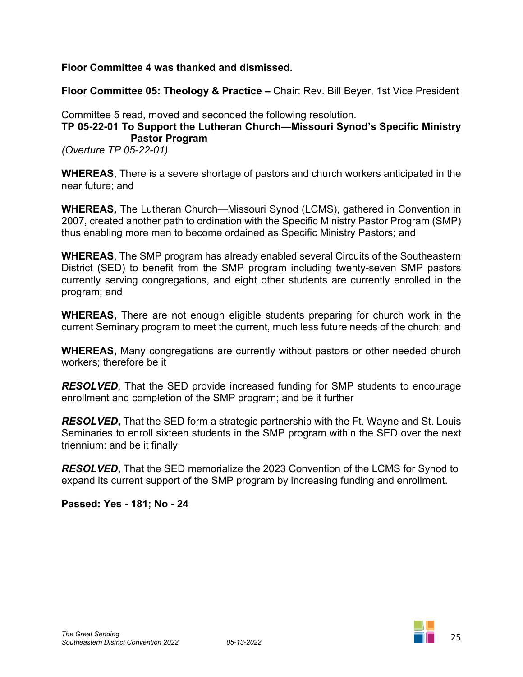**Floor Committee 4 was thanked and dismissed.**

**Floor Committee 05: Theology & Practice –** Chair: Rev. Bill Beyer, 1st Vice President

Committee 5 read, moved and seconded the following resolution.

# **TP 05-22-01 To Support the Lutheran Church—Missouri Synod's Specific Ministry Pastor Program**

*(Overture TP 05-22-01)*

**WHEREAS**, There is a severe shortage of pastors and church workers anticipated in the near future; and

**WHEREAS,** The Lutheran Church—Missouri Synod (LCMS), gathered in Convention in 2007, created another path to ordination with the Specific Ministry Pastor Program (SMP) thus enabling more men to become ordained as Specific Ministry Pastors; and

**WHEREAS**, The SMP program has already enabled several Circuits of the Southeastern District (SED) to benefit from the SMP program including twenty-seven SMP pastors currently serving congregations, and eight other students are currently enrolled in the program; and

**WHEREAS,** There are not enough eligible students preparing for church work in the current Seminary program to meet the current, much less future needs of the church; and

**WHEREAS,** Many congregations are currently without pastors or other needed church workers; therefore be it

*RESOLVED*, That the SED provide increased funding for SMP students to encourage enrollment and completion of the SMP program; and be it further

*RESOLVED***,** That the SED form a strategic partnership with the Ft. Wayne and St. Louis Seminaries to enroll sixteen students in the SMP program within the SED over the next triennium: and be it finally

*RESOLVED***,** That the SED memorialize the 2023 Convention of the LCMS for Synod to expand its current support of the SMP program by increasing funding and enrollment.

**Passed: Yes - 181; No - 24**

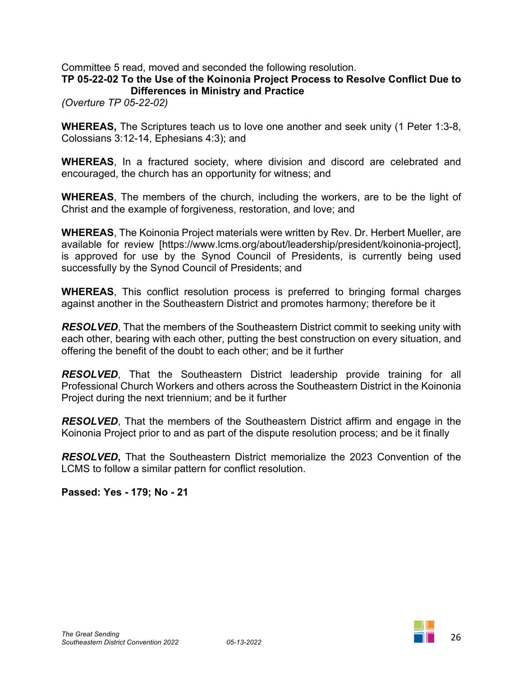Committee 5 read, moved and seconded the following resolution.

#### **TP 05-22-02 To the Use of the Koinonia Project Process to Resolve Conflict Due to Differences in Ministry and Practice**

*(Overture TP 05-22-02)*

**WHEREAS,** The Scriptures teach us to love one another and seek unity (1 Peter 1:3-8, Colossians 3:12-14, Ephesians 4:3); and

**WHEREAS**, In a fractured society, where division and discord are celebrated and encouraged, the church has an opportunity for witness; and

**WHEREAS**, The members of the church, including the workers, are to be the light of Christ and the example of forgiveness, restoration, and love; and

**WHEREAS**, The Koinonia Project materials were written by Rev. Dr. Herbert Mueller, are available for review [https://www.lcms.org/about/leadership/president/koinonia-project], is approved for use by the Synod Council of Presidents, is currently being used successfully by the Synod Council of Presidents; and

**WHEREAS**, This conflict resolution process is preferred to bringing formal charges against another in the Southeastern District and promotes harmony; therefore be it

*RESOLVED*, That the members of the Southeastern District commit to seeking unity with each other, bearing with each other, putting the best construction on every situation, and offering the benefit of the doubt to each other; and be it further

*RESOLVED*, That the Southeastern District leadership provide training for all Professional Church Workers and others across the Southeastern District in the Koinonia Project during the next triennium; and be it further

*RESOLVED*, That the members of the Southeastern District affirm and engage in the Koinonia Project prior to and as part of the dispute resolution process; and be it finally

*RESOLVED***,** That the Southeastern District memorialize the 2023 Convention of the LCMS to follow a similar pattern for conflict resolution.

**Passed: Yes - 179; No - 21**

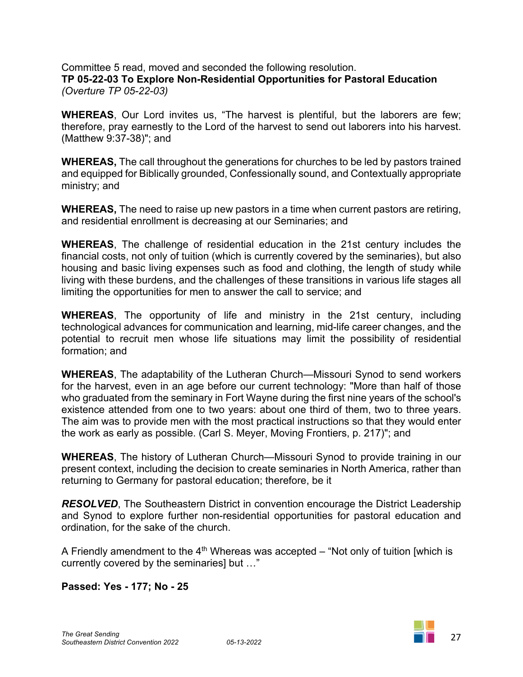Committee 5 read, moved and seconded the following resolution. **TP 05-22-03 To Explore Non-Residential Opportunities for Pastoral Education** *(Overture TP 05-22-03)*

**WHEREAS**, Our Lord invites us, "The harvest is plentiful, but the laborers are few; therefore, pray earnestly to the Lord of the harvest to send out laborers into his harvest. (Matthew 9:37-38)"; and

**WHEREAS,** The call throughout the generations for churches to be led by pastors trained and equipped for Biblically grounded, Confessionally sound, and Contextually appropriate ministry; and

**WHEREAS,** The need to raise up new pastors in a time when current pastors are retiring, and residential enrollment is decreasing at our Seminaries; and

**WHEREAS**, The challenge of residential education in the 21st century includes the financial costs, not only of tuition (which is currently covered by the seminaries), but also housing and basic living expenses such as food and clothing, the length of study while living with these burdens, and the challenges of these transitions in various life stages all limiting the opportunities for men to answer the call to service; and

**WHEREAS**, The opportunity of life and ministry in the 21st century, including technological advances for communication and learning, mid-life career changes, and the potential to recruit men whose life situations may limit the possibility of residential formation; and

**WHEREAS**, The adaptability of the Lutheran Church—Missouri Synod to send workers for the harvest, even in an age before our current technology: "More than half of those who graduated from the seminary in Fort Wayne during the first nine years of the school's existence attended from one to two years: about one third of them, two to three years. The aim was to provide men with the most practical instructions so that they would enter the work as early as possible. (Carl S. Meyer, Moving Frontiers, p. 217)"; and

**WHEREAS**, The history of Lutheran Church—Missouri Synod to provide training in our present context, including the decision to create seminaries in North America, rather than returning to Germany for pastoral education; therefore, be it

*RESOLVED*, The Southeastern District in convention encourage the District Leadership and Synod to explore further non-residential opportunities for pastoral education and ordination, for the sake of the church.

A Friendly amendment to the  $4<sup>th</sup>$  Whereas was accepted – "Not only of tuition [which is currently covered by the seminaries] but …"

#### **Passed: Yes - 177; No - 25**

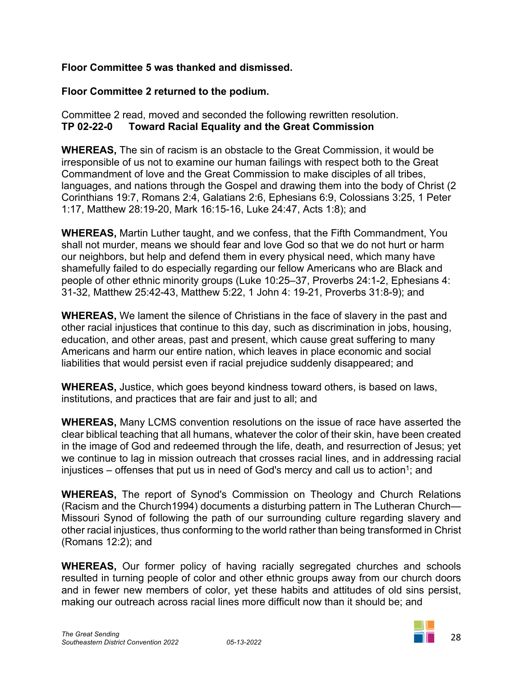## **Floor Committee 5 was thanked and dismissed.**

## **Floor Committee 2 returned to the podium.**

Committee 2 read, moved and seconded the following rewritten resolution. **TP 02-22-07A Toward Racial Equality and the Great Commission** 

**WHEREAS,** The sin of racism is an obstacle to the Great Commission, it would be irresponsible of us not to examine our human failings with respect both to the Great Commandment of love and the Great Commission to make disciples of all tribes, languages, and nations through the Gospel and drawing them into the body of Christ (2 Corinthians 19:7, Romans 2:4, Galatians 2:6, Ephesians 6:9, Colossians 3:25, 1 Peter 1:17, Matthew 28:19-20, Mark 16:15-16, Luke 24:47, Acts 1:8); and

**WHEREAS,** Martin Luther taught, and we confess, that the Fifth Commandment, You shall not murder, means we should fear and love God so that we do not hurt or harm our neighbors, but help and defend them in every physical need, which many have shamefully failed to do especially regarding our fellow Americans who are Black and people of other ethnic minority groups (Luke 10:25–37, Proverbs 24:1-2, Ephesians 4: 31-32, Matthew 25:42-43, Matthew 5:22, 1 John 4: 19-21, Proverbs 31:8-9); and

**WHEREAS,** We lament the silence of Christians in the face of slavery in the past and other racial injustices that continue to this day, such as discrimination in jobs, housing, education, and other areas, past and present, which cause great suffering to many Americans and harm our entire nation, which leaves in place economic and social liabilities that would persist even if racial prejudice suddenly disappeared; and

**WHEREAS,** Justice, which goes beyond kindness toward others, is based on laws, institutions, and practices that are fair and just to all; and

**WHEREAS,** Many LCMS convention resolutions on the issue of race have asserted the clear biblical teaching that all humans, whatever the color of their skin, have been created in the image of God and redeemed through the life, death, and resurrection of Jesus; yet we continue to lag in mission outreach that crosses racial lines, and in addressing racial injustices – offenses that put us in need of God's mercy and call us to action<sup>1</sup>; and

**WHEREAS,** The report of Synod's Commission on Theology and Church Relations (Racism and the Church1994) documents a disturbing pattern in The Lutheran Church— Missouri Synod of following the path of our surrounding culture regarding slavery and other racial injustices, thus conforming to the world rather than being transformed in Christ (Romans 12:2); and

**WHEREAS,** Our former policy of having racially segregated churches and schools resulted in turning people of color and other ethnic groups away from our church doors and in fewer new members of color, yet these habits and attitudes of old sins persist, making our outreach across racial lines more difficult now than it should be; and

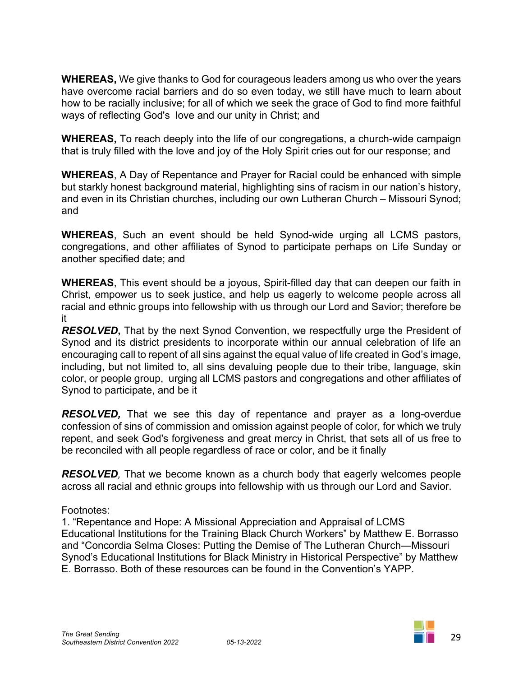**WHEREAS,** We give thanks to God for courageous leaders among us who over the years have overcome racial barriers and do so even today, we still have much to learn about how to be racially inclusive; for all of which we seek the grace of God to find more faithful ways of reflecting God's love and our unity in Christ; and

**WHEREAS,** To reach deeply into the life of our congregations, a church-wide campaign that is truly filled with the love and joy of the Holy Spirit cries out for our response; and

**WHEREAS**, A Day of Repentance and Prayer for Racial could be enhanced with simple but starkly honest background material, highlighting sins of racism in our nation's history, and even in its Christian churches, including our own Lutheran Church – Missouri Synod; and

**WHEREAS**, Such an event should be held Synod-wide urging all LCMS pastors, congregations, and other affiliates of Synod to participate perhaps on Life Sunday or another specified date; and

**WHEREAS**, This event should be a joyous, Spirit-filled day that can deepen our faith in Christ, empower us to seek justice, and help us eagerly to welcome people across all racial and ethnic groups into fellowship with us through our Lord and Savior; therefore be it

*RESOLVED***,** That by the next Synod Convention, we respectfully urge the President of Synod and its district presidents to incorporate within our annual celebration of life an encouraging call to repent of all sins against the equal value of life created in God's image, including, but not limited to, all sins devaluing people due to their tribe, language, skin color, or people group, urging all LCMS pastors and congregations and other affiliates of Synod to participate, and be it

*RESOLVED,* That we see this day of repentance and prayer as a long-overdue confession of sins of commission and omission against people of color, for which we truly repent, and seek God's forgiveness and great mercy in Christ, that sets all of us free to be reconciled with all people regardless of race or color, and be it finally

*RESOLVED,* That we become known as a church body that eagerly welcomes people across all racial and ethnic groups into fellowship with us through our Lord and Savior.

Footnotes:

1. "Repentance and Hope: A Missional Appreciation and Appraisal of LCMS Educational Institutions for the Training Black Church Workers" by Matthew E. Borrasso and "Concordia Selma Closes: Putting the Demise of The Lutheran Church—Missouri Synod's Educational Institutions for Black Ministry in Historical Perspective" by Matthew E. Borrasso. Both of these resources can be found in the Convention's YAPP.

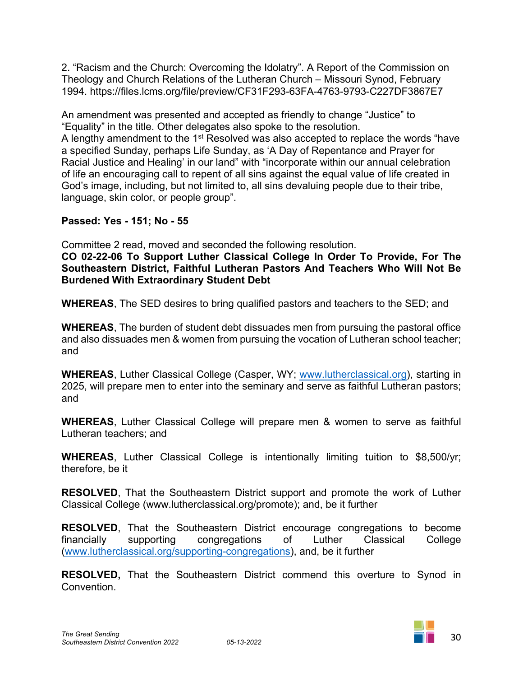2. "Racism and the Church: Overcoming the Idolatry". A Report of the Commission on Theology and Church Relations of the Lutheran Church – Missouri Synod, February 1994. https://files.lcms.org/file/preview/CF31F293-63FA-4763-9793-C227DF3867E7

An amendment was presented and accepted as friendly to change "Justice" to "Equality" in the title. Other delegates also spoke to the resolution. A lengthy amendment to the 1<sup>st</sup> Resolved was also accepted to replace the words "have a specified Sunday, perhaps Life Sunday, as 'A Day of Repentance and Prayer for Racial Justice and Healing' in our land" with "incorporate within our annual celebration of life an encouraging call to repent of all sins against the equal value of life created in

God's image, including, but not limited to, all sins devaluing people due to their tribe,

# **Passed: Yes - 151; No - 55**

language, skin color, or people group".

Committee 2 read, moved and seconded the following resolution.

**CO 02-22-06 To Support Luther Classical College In Order To Provide, For The Southeastern District, Faithful Lutheran Pastors And Teachers Who Will Not Be Burdened With Extraordinary Student Debt** 

**WHEREAS**, The SED desires to bring qualified pastors and teachers to the SED; and

**WHEREAS**, The burden of student debt dissuades men from pursuing the pastoral office and also dissuades men & women from pursuing the vocation of Lutheran school teacher; and

**WHEREAS**, Luther Classical College (Casper, WY; [www.lutherclassical.org](http://www.lutherclassical.org/)), starting in 2025, will prepare men to enter into the seminary and serve as faithful Lutheran pastors; and

**WHEREAS**, Luther Classical College will prepare men & women to serve as faithful Lutheran teachers; and

**WHEREAS**, Luther Classical College is intentionally limiting tuition to \$8,500/yr; therefore, be it

**RESOLVED**, That the Southeastern District support and promote the work of Luther Classical College (www.lutherclassical.org/promote); and, be it further

**RESOLVED**, That the Southeastern District encourage congregations to become financially supporting congregations of Luther Classical College ([www.lutherclassical.org/supporting-congregations](http://www.lutherclassical.org/supporting-congregations)), and, be it further

**RESOLVED,** That the Southeastern District commend this overture to Synod in Convention.